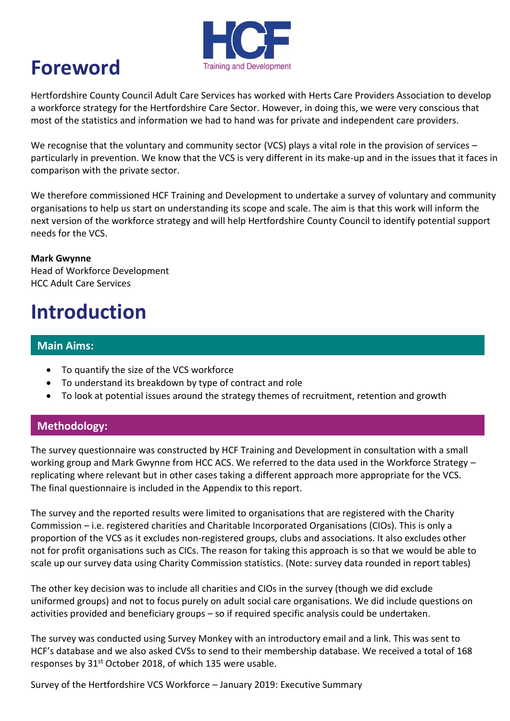

### **Foreword**

Hertfordshire County Council Adult Care Services has worked with Herts Care Providers Association to develop a workforce strategy for the Hertfordshire Care Sector. However, in doing this, we were very conscious that most of the statistics and information we had to hand was for private and independent care providers.

We recognise that the voluntary and community sector (VCS) plays a vital role in the provision of services – particularly in prevention. We know that the VCS is very different in its make-up and in the issues that it faces in comparison with the private sector.

We therefore commissioned HCF Training and Development to undertake a survey of voluntary and community organisations to help us start on understanding its scope and scale. The aim is that this work will inform the next version of the workforce strategy and will help Hertfordshire County Council to identify potential support needs for the VCS.

**Mark Gwynne** Head of Workforce Development HCC Adult Care Services

# **Introduction**

#### **Main Aims:**

- To quantify the size of the VCS workforce
- To understand its breakdown by type of contract and role
- To look at potential issues around the strategy themes of recruitment, retention and growth

### **Methodology:**

The survey questionnaire was constructed by HCF Training and Development in consultation with a small working group and Mark Gwynne from HCC ACS. We referred to the data used in the Workforce Strategy – replicating where relevant but in other cases taking a different approach more appropriate for the VCS. The final questionnaire is included in the Appendix to this report.

The survey and the reported results were limited to organisations that are registered with the Charity Commission – i.e. registered charities and Charitable Incorporated Organisations (CIOs). This is only a proportion of the VCS as it excludes non-registered groups, clubs and associations. It also excludes other not for profit organisations such as CICs. The reason for taking this approach is so that we would be able to scale up our survey data using Charity Commission statistics. (Note: survey data rounded in report tables)

The other key decision was to include all charities and CIOs in the survey (though we did exclude uniformed groups) and not to focus purely on adult social care organisations. We did include questions on activities provided and beneficiary groups – so if required specific analysis could be undertaken.

The survey was conducted using Survey Monkey with an introductory email and a link. This was sent to HCF's database and we also asked CVSs to send to their membership database. We received a total of 168 responses by 31<sup>st</sup> October 2018, of which 135 were usable.

Survey of the Hertfordshire VCS Workforce – January 2019: Executive Summary